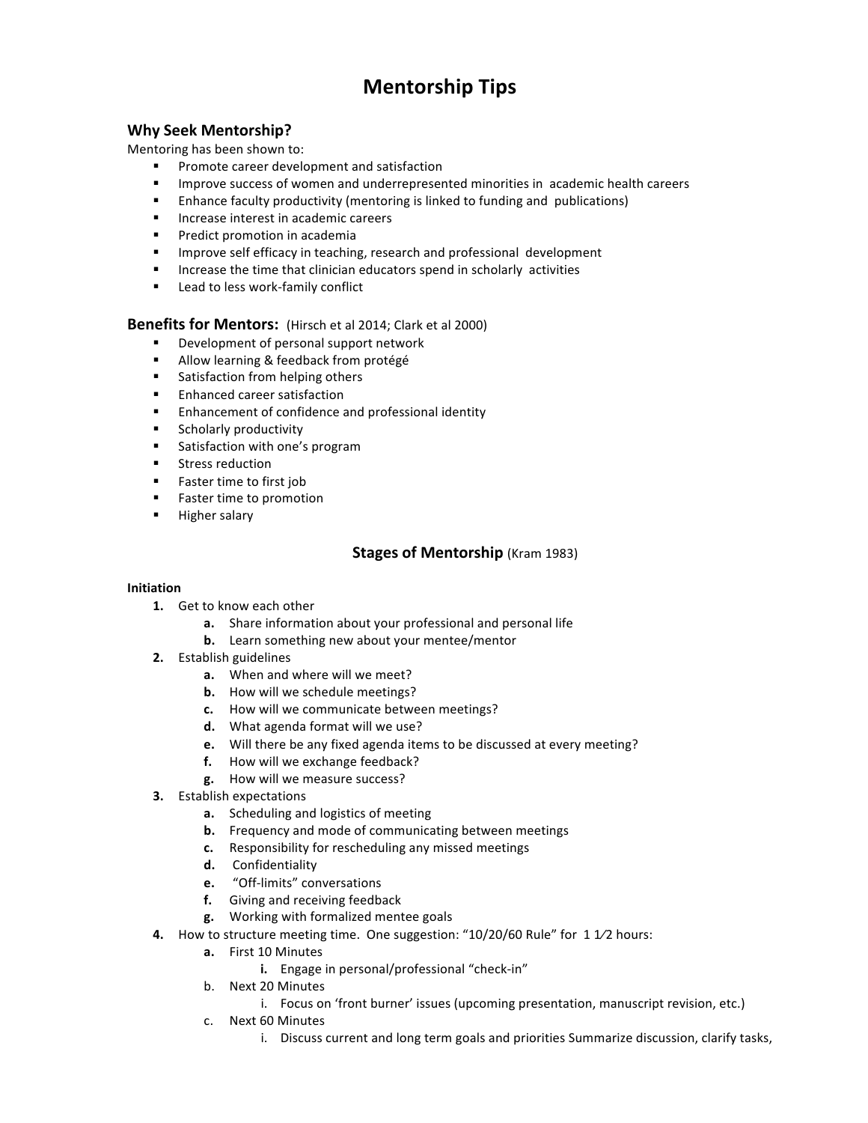# **Mentorship Tips**

# **Why Seek Mentorship?**

Mentoring has been shown to:

- **Promote career development and satisfaction**
- "Improve success of women and underrepresented minorities in academic health careers
- **Enhance faculty productivity (mentoring is linked to funding and publications)**
- Increase interest in academic careers
- **•** Predict promotion in academia
- **IMPROVE SELF EFFICACY IN THEORY FERGEARY CONCLERGED** IMPROVE SELFIGACY IN teaching, research and professional development
- $\blacksquare$  Increase the time that clinician educators spend in scholarly activities
- Lead to less work-family conflict

**Benefits for Mentors:** (Hirsch et al 2014; Clark et al 2000)

- Development of personal support network
- Allow learning & feedback from protégé
- **EXECUTE:** Satisfaction from helping others
- **Executed** career satisfaction
- Enhancement of confidence and professional identity
- **EXECUTE:** Scholarly productivity
- Satisfaction with one's program
- **EXECUTE:** Stress reduction
- **EXECUTE:** Faster time to first job
- **Exerchanger** Faster time to promotion
- **E** Higher salary

# **Stages of Mentorship** (Kram 1983)

## **Initiation**

- **1.** Get to know each other
	- **a.** Share information about your professional and personal life
	- **b.** Learn something new about your mentee/mentor
- **2.** Establish guidelines
	- **a.** When and where will we meet?
	- **b.** How will we schedule meetings?
	- **c.** How will we communicate between meetings?
	- **d.** What agenda format will we use?
	- **e.** Will there be any fixed agenda items to be discussed at every meeting?
	- **f.** How will we exchange feedback?
	- **g.** How will we measure success?
- **3.** Establish expectations
	- **a.** Scheduling and logistics of meeting
	- **b.** Frequency and mode of communicating between meetings
	- **c.** Responsibility for rescheduling any missed meetings
	- **d.** Confidentiality
	- **e.** "Off-limits" conversations
	- **f.** Giving and receiving feedback
	- **g.** Working with formalized mentee goals
- **4.** How to structure meeting time. One suggestion: "10/20/60 Rule" for 1 1/2 hours:
	- **a.** First 10 Minutes
		- **i.** Engage in personal/professional "check-in"
		- b. Next 20 Minutes
			- i. Focus on 'front burner' issues (upcoming presentation, manuscript revision, etc.)
		- c. Next 60 Minutes
			- i. Discuss current and long term goals and priorities Summarize discussion, clarify tasks,